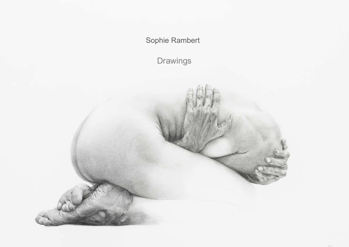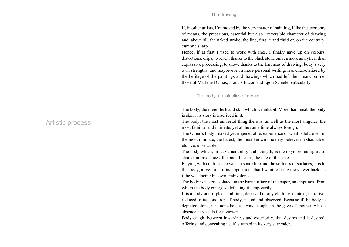If, in other artists, I'm moved by the very matter of painting, I like the economy of means, the precarious, essential but also irreversible character of drawing and, above all, the naked stroke, the line, fragile and fluid or, on the contrary, curt and sharp.

Hence, if at first I used to work with inks, I finally gave up on colours, distortions, drips, to reach, thanks to the black stone only, a more analytical than expressive processing, to show, thanks to the bareness of drawing, body's very own strengths, and maybe even a more personal writing, less characterized by the heritage of the paintings and drawings which had left their mark on me, those of Marlène Dumas, Francis Bacon and Egon Schiele particularly.

### The body, a dialectics of desire

The body, the mere flesh and skin which we inhabit. More than meat, the body is skin : its story is inscribed in it.

The body, the most universal thing there is, as well as the most singular, the most familiar and intimate, yet at the same time always foreign.

The Other's body : naked yet impenetrable, experience of what is left, even in the most intimate, the barest, the most known one may believe, inexhaustible, elusive, unseizable.

The body which, in its vulnerability and strength, is the oxymoronic figure of shared ambivalences, the one of desire, the one of the sexes.

Playing with contrasts between a sharp line and the softness of surfaces, it is to this body, alive, rich of its oppositions that I want to bring the viewer back, as if he was facing his own ambivalence.

The body is naked, isolated on the bare surface of the paper, an emptiness from which the body emerges, defeating it temporarily.

It is a body out of place and time, deprived of any clothing, context, narrative, reduced to its condition of body, naked and observed. Because if the body is depicted alone, it is nonetheless always caught in the gaze of another, whose absence here calls for a viewer.

Body caught between inwardness and exteriority, that desires and is desired, offering and concealing itself, strained in its very surrender.

# Artistic process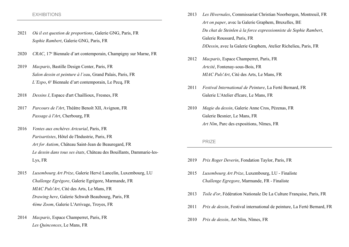#### EXHIBITIONS

- 2021 Où il est question de proportions, Galerie GNG, Paris, FR Sophie Rambert, Galerie GNG, Paris, FR
- 2020 CRAC, 17<sup>e</sup> Biennale d'art contemporain, Champigny sur Marne, FR
- 2019 Macparis, Bastille Design Center, Paris, FR Salon dessin et peinture à l'eau, Grand Palais, Paris, FR L'Expo, 6<sup>e</sup> Biennale d'art contemporain, Le Pecq, FR
- 2018 Dessins I, Espace d'art Chaillioux, Fresnes, FR
- 2017 Parcours de l'Art, Théâtre Benoît XII, Avignon, FR Passage à l'Art, Cherbourg, FR
- 2016 Ventes aux enchères Artcurial, Paris, FR Parisartistes, Hôtel de l'Industrie, Paris, FR Art for Autism, Château Saint-Jean de Beauregard, FR Le dessin dans tous ses états, Château des Bouillants, Dammarie-les-Lys, FR
- 2015 Luxembourg Art Prize, Galerie Hervé Lancelin, Luxembourg, LU Challenge Egrégore, Galerie Egrégore, Marmande, FR MIAC Puls'Art, Cité des Arts, Le Mans, FR Drawing here, Galerie Schwab Beaubourg, Paris, FR 4ème Zoom, Galerie L'Arrivage, Troyes, FR
- 2014 Macparis, Espace Champerret, Paris, FR Les Quinconces, Le Mans, FR
- 2013 Les Hivernales, Commissariat Christian Noorbergen, Montreuil, FR Art on paper, avec la Galerie Graphem, Bruxelles, BE Du chat de Steinlen à la force expressionniste de Sophie Rambert, Galerie Roussard, Paris, FR DDessin, avec la Galerie Graphem, Atelier Richelieu, Paris, FR
- 2012 Macparis, Espace Champerret, Paris, FR Artcité, Fontenay-sous-Bois, FR MIAC Puls'Art, Cité des Arts, Le Mans, FR
- 2011 Festival International de Peinture, La Ferté Bernard, FR Galerie L'Atelier d'Icare, Le Mans, FR
- 2010 Magie du dessin, Galerie Anne Cros, Pézenas, FR Galerie Besnier, Le Mans, FR Art Nîm, Parc des expositions, Nîmes, FR

#### PRIZE

- 2019 Prix Roger Deverin, Fondation Taylor, Paris, FR
- 2015 Luxembourg Art Prize, Luxembourg, LU Finaliste Challenge Egregore, Marmande, FR - Finaliste
- 2013 Toile d'or, Fédération Nationale De La Culture Française, Paris, FR
- 2011 Prix de dessin, Festival international de peinture, La Ferté Bernard, FR
- 2010 Prix de dessin, Art Nîm, Nîmes, FR